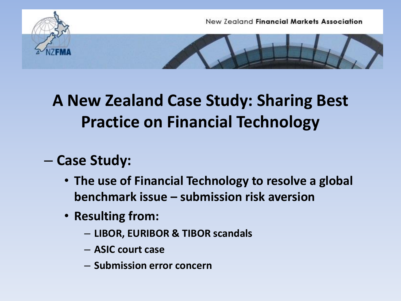

## **A New Zealand Case Study: Sharing Best Practice on Financial Technology**

## – **Case Study:**

- **The use of Financial Technology to resolve a global benchmark issue – submission risk aversion**
- **Resulting from:**
	- **LIBOR, EURIBOR & TIBOR scandals**
	- **ASIC court case**
	- **Submission error concern**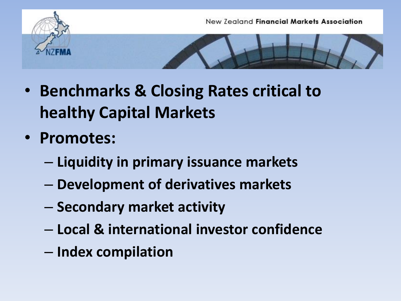

- **Benchmarks & Closing Rates critical to healthy Capital Markets**
- **Promotes:**
	- **Liquidity in primary issuance markets**
	- **Development of derivatives markets**
	- **Secondary market activity**
	- **Local & international investor confidence**
	- **Index compilation**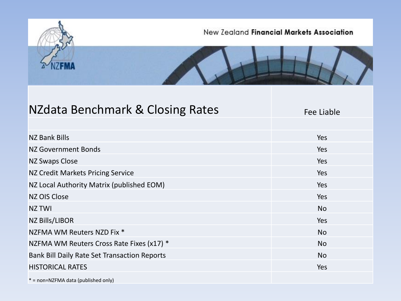

| NZdata Benchmark & Closing Rates             | Fee Liable |  |  |
|----------------------------------------------|------------|--|--|
|                                              |            |  |  |
| <b>NZ Bank Bills</b>                         | Yes        |  |  |
| NZ Government Bonds                          | Yes        |  |  |
| <b>NZ Swaps Close</b>                        | Yes        |  |  |
| NZ Credit Markets Pricing Service            | Yes        |  |  |
| NZ Local Authority Matrix (published EOM)    | Yes        |  |  |
| NZ OIS Close                                 | Yes        |  |  |
| <b>NZ TWI</b>                                | <b>No</b>  |  |  |
| NZ Bills/LIBOR                               | Yes        |  |  |
| NZFMA WM Reuters NZD Fix *                   | <b>No</b>  |  |  |
| NZFMA WM Reuters Cross Rate Fixes (x17) *    | <b>No</b>  |  |  |
| Bank Bill Daily Rate Set Transaction Reports | <b>No</b>  |  |  |
| <b>HISTORICAL RATES</b>                      | Yes        |  |  |
| * = non=NZFMA data (published only)          |            |  |  |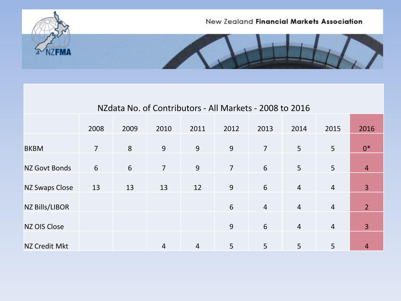

| NZdata No. of Contributors - All Markets - 2008 to 2016 |                |      |                |      |                |                |                |                |                |  |
|---------------------------------------------------------|----------------|------|----------------|------|----------------|----------------|----------------|----------------|----------------|--|
|                                                         | 2008           | 2009 | 2010           | 2011 | 2012           | 2013           | 2014           | 2015           | 2016           |  |
| <b>BKBM</b>                                             | $\overline{7}$ | 8    | 9              | 9    | 9              | $\overline{7}$ | 5              | 5              | $0*$           |  |
| <b>NZ Govt Bonds</b>                                    | 6              | 6    | $\overline{7}$ | 9    | $\overline{7}$ | 6              | 5              | 5              | $\overline{4}$ |  |
| <b>NZ Swaps Close</b>                                   | 13             | 13   | 13             | 12   | 9              | 6              | $\overline{4}$ | $\overline{4}$ | 3              |  |
| <b>NZ Bills/LIBOR</b>                                   |                |      |                |      | 6              | $\overline{4}$ | $\overline{4}$ | $\overline{4}$ | $\overline{2}$ |  |
|                                                         |                |      |                |      |                |                |                |                |                |  |
| <b>NZ OIS Close</b>                                     |                |      |                |      | 9              | 6              | $\overline{4}$ | $\overline{4}$ | 3              |  |
| <b>NZ Credit Mkt</b>                                    |                |      | 4              | 4    | 5              | 5              | 5              | 5              | 4              |  |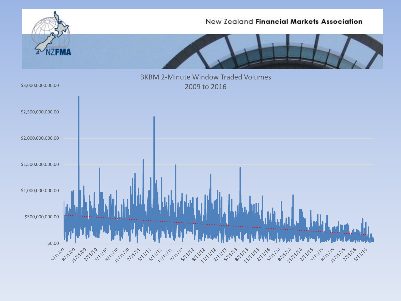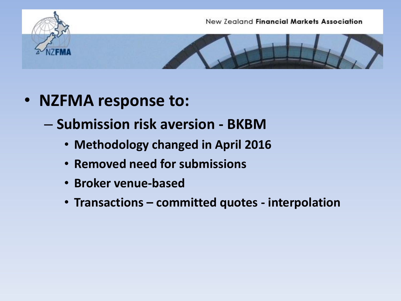





- **NZFMA response to:**
	- **Submission risk aversion - BKBM**
		- **Methodology changed in April 2016**
		- **Removed need for submissions**
		- **Broker venue-based**
		- **Transactions – committed quotes - interpolation**